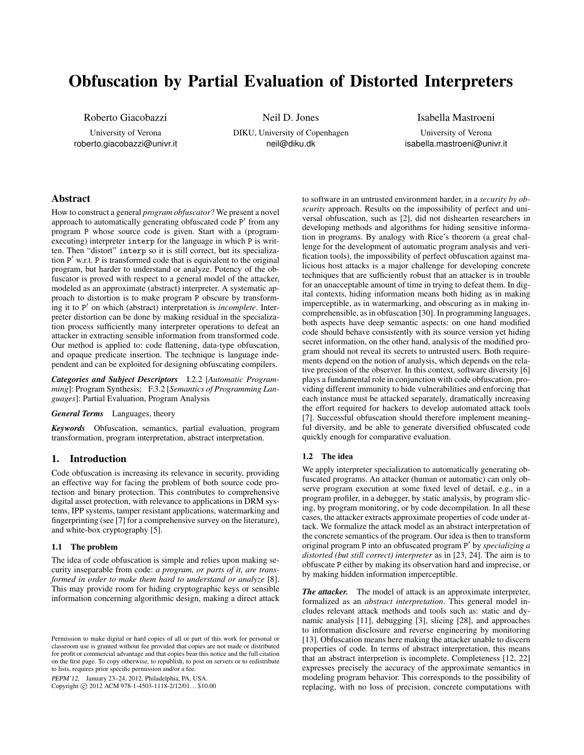# Obfuscation by Partial Evaluation of Distorted Interpreters

Roberto Giacobazzi

University of Verona roberto.giacobazzi@univr.it

Neil D. Jones DIKU, University of Copenhagen neil@diku.dk

Isabella Mastroeni University of Verona isabella.mastroeni@univr.it

# Abstract

How to construct a general *program obfuscator*? We present a novel approach to automatically generating obfuscated code P' from any program P whose source code is given. Start with a (programexecuting) interpreter interp for the language in which P is written. Then "distort" interp so it is still correct, but its specialization P' w.r.t. P is transformed code that is equivalent to the original program, but harder to understand or analyze. Potency of the obfuscator is proved with respect to a general model of the attacker, modeled as an approximate (abstract) interpreter. A systematic approach to distortion is to make program P obscure by transforming it to P' on which (abstract) interpretation is *incomplete*. Interpreter distortion can be done by making residual in the specialization process sufficiently many interpreter operations to defeat an attacker in extracting sensible information from transformed code. Our method is applied to: code flattening, data-type obfuscation, and opaque predicate insertion. The technique is language independent and can be exploited for designing obfuscating compilers.

*Categories and Subject Descriptors* I.2.2 [*Automatic Programming*]: Program Synthesis; F.3.2 [*Semantics of Programming Languages*]: Partial Evaluation, Program Analysis

# *General Terms* Languages, theory

*Keywords* Obfuscation, semantics, partial evaluation, program transformation, program interpretation, abstract interpretation.

# 1. Introduction

Code obfuscation is increasing its relevance in security, providing an effective way for facing the problem of both source code protection and binary protection. This contributes to comprehensive digital asset protection, with relevance to applications in DRM systems, IPP systems, tamper resistant applications, watermarking and fingerprinting (see [7] for a comprehensive survey on the literature), and white-box cryptography [5].

#### 1.1 The problem

The idea of code obfuscation is simple and relies upon making security inseparable from code: *a program, or parts of it, are transformed in order to make them hard to understand or analyze* [8]. This may provide room for hiding cryptographic keys or sensible information concerning algorithmic design, making a direct attack

PEPM'12, January 23–24, 2012, Philadelphia, PA, USA.

Copyright © 2012 ACM 978-1-4503-1118-2/12/01... \$10.00

to software in an untrusted environment harder, in a *security by obscurity* approach. Results on the impossibility of perfect and universal obfuscation, such as [2], did not dishearten researchers in developing methods and algorithms for hiding sensitive information in programs. By analogy with Rice's theorem (a great challenge for the development of automatic program analysis and verification tools), the impossibility of perfect obfuscation against malicious host attacks is a major challenge for developing concrete techniques that are sufficiently robust that an attacker is in trouble for an unacceptable amount of time in trying to defeat them. In digital contexts, hiding information means both hiding as in making imperceptible, as in watermarking, and obscuring as in making incomprehensible, as in obfuscation [30]. In programming languages, both aspects have deep semantic aspects: on one hand modified code should behave consistently with its source version yet hiding secret information, on the other hand, analysis of the modified program should not reveal its secrets to untrusted users. Both requirements depend on the notion of analysis, which depends on the relative precision of the observer. In this context, software diversity [6] plays a fundamental role in conjunction with code obfuscation, providing different immunity to hide vulnerabilities and enforcing that each instance must be attacked separately, dramatically increasing the effort required for hackers to develop automated attack tools [7]. Successful obfuscation should therefore implement meaningful diversity, and be able to generate diversified obfuscated code quickly enough for comparative evaluation.

# 1.2 The idea

We apply interpreter specialization to automatically generating obfuscated programs. An attacker (human or automatic) can only observe program execution at some fixed level of detail, e.g., in a program profiler, in a debugger, by static analysis, by program slicing, by program monitoring, or by code decompilation. In all these cases, the attacker extracts approximate properties of code under attack. We formalize the attack model as an abstract interpretation of the concrete semantics of the program. Our idea is then to transform original program P into an obfuscated program P 0 by *specializing a distorted (but still correct) interpreter* as in [23, 24]. The aim is to obfuscate P either by making its observation hard and imprecise, or by making hidden information imperceptible.

*The attacker.* The model of attack is an approximate interpreter, formalized as an *abstract interpretation*. This general model includes relevant attack methods and tools such as: static and dynamic analysis [11], debugging [3], slicing [28], and approaches to information disclosure and reverse engineering by monitoring [13]. Obfuscation means here making the attacker unable to discern properties of code. In terms of abstract interpretation, this means that an abstract interpretion is incomplete. Completeness [12, 22] expresses precisely the accuracy of the approximate semantics in modeling program behavior. This corresponds to the possibility of replacing, with no loss of precision, concrete computations with

Permission to make digital or hard copies of all or part of this work for personal or classroom use is granted without fee provided that copies are not made or distributed for profit or commercial advantage and that copies bear this notice and the full citation on the first page. To copy otherwise, to republish, to post on servers or to redistribute to lists, requires prior specific permission and/or a fee.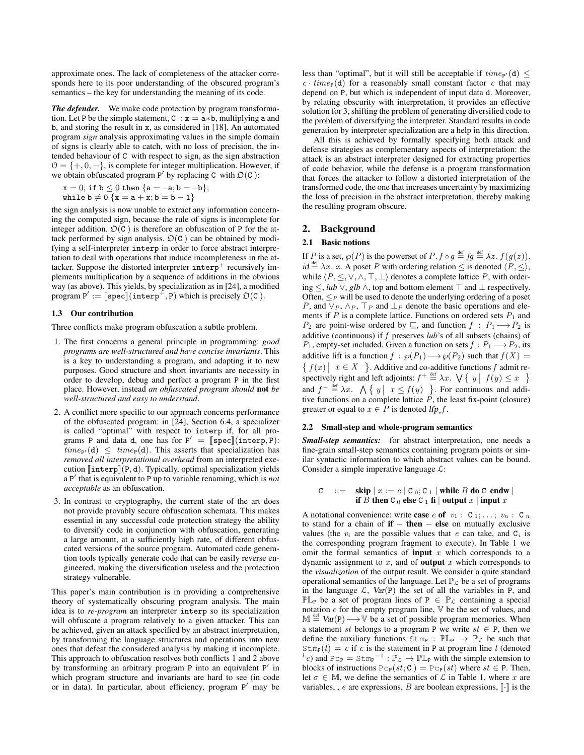approximate ones. The lack of completeness of the attacker corresponds here to its poor understanding of the obscured program's semantics – the key for understanding the meaning of its code.

*The defender.* We make code protection by program transformation. Let P be the simple statement,  $C : x = a * b$ , multiplying a and b, and storing the result in x, as considered in [18]. An automated program *sign* analysis approximating values in the simple domain of signs is clearly able to catch, with no loss of precision, the intended behaviour of C with respect to sign, as the sign abstraction  $\mathcal{O} = \{+, 0, -\},$  is complete for integer multiplication. However, if we obtain obfuscated program P' by replacing C with  $\mathfrak{O}(C)$ :

$$
\begin{matrix} x = 0; \text{ if } b \leq 0 \text{ then } \{a = -a; b = -b\}; \\ \text{while } b \neq 0 \text{ } \{x = a + x; b = b - 1\} \end{matrix}
$$

the sign analysis is now unable to extract any information concerning the computed sign, because the rule of signs is incomplete for integer addition.  $\mathfrak{O}(C)$  is therefore an obfuscation of P for the attack performed by sign analysis.  $\mathfrak{O}(C)$  can be obtained by modifying a self-interpreter interp in order to force abstract interpretation to deal with operations that induce incompleteness in the attacker. Suppose the distorted interpreter  $\text{interper} + \text{recursively im-}$ plements multiplication by a sequence of additions in the obvious way (as above). This yields, by specialization as in [24], a modified program  $P' := \llbracket \text{spec} \rrbracket (\text{interp}^+, P)$  which is precisely  $\mathfrak{O}(C)$ .

## 1.3 Our contribution

Three conflicts make program obfuscation a subtle problem.

- 1. The first concerns a general principle in programming: *good programs are well-structured and have concise invariants*. This is a key to understanding a program, and adapting it to new purposes. Good structure and short invariants are necessity in order to develop, debug and perfect a program P in the first place. However, instead *an obfuscated program should* not *be well-structured and easy to understand*.
- 2. A conflict more specific to our approach concerns performance of the obfuscated program: in [24], Section 6.4, a specializer is called "optimal" with respect to interp if, for all programs P and data d, one has for  $P' = \llbracket \text{spec} \rrbracket (\text{interp}, P)$ :<br>  $time_{\text{rel}}(d) \leq time_{\text{rel}}(d)$ . This asserts that specialization has  $time_{P'}(d) \leq time_{P}(d)$ . This asserts that specialization has *removed all interpretational overhead* from an interpreted execution  $\lceil \text{interp} \rceil(P, d)$ . Typically, optimal specialization yields a P 0 that is equivalent to P up to variable renaming, which is *not acceptable* as an obfuscation.
- 3. In contrast to cryptography, the current state of the art does not provide provably secure obfuscation schemata. This makes essential in any successful code protection strategy the ability to diversify code in conjunction with obfuscation, generating a large amount, at a sufficiently high rate, of different obfuscated versions of the source program. Automated code generation tools typically generate code that can be easily reverse engineered, making the diversification useless and the protection strategy vulnerable.

This paper's main contribution is in providing a comprehensive theory of systematically obscuring program analysis. The main idea is to *re-program* an interpreter interp so its specialization will obfuscate a program relatively to a given attacker. This can be achieved, given an attack specified by an abstract interpretation, by transforming the language structures and operations into new ones that defeat the considered analysis by making it incomplete. This approach to obfuscation resolves both conflicts 1 and 2 above by transforming an arbitrary program P into an equivalent P' in which program structure and invariants are hard to see (in code or in data). In particular, about efficiency, program P' may be

less than "optimal", but it will still be acceptable if  $time_{P'}(d) \le$  $c \cdot time_P(d)$  for a reasonably small constant factor c that may depend on P, but which is independent of input data d. Moreover, by relating obscurity with interpretation, it provides an effective solution for 3, shifting the problem of generating diversified code to the problem of diversifying the interpreter. Standard results in code generation by interpreter specialization are a help in this direction.

All this is achieved by formally specifying both attack and defense strategies as complementary aspects of interpretation: the attack is an abstract interpreter designed for extracting properties of code behavior, while the defense is a program transformation that forces the attacker to follow a distorted interpretation of the transformed code, the one that increases uncertainty by maximizing the loss of precision in the abstract interpretation, thereby making the resulting program obscure.

# 2. Background

# 2.1 Basic notions

If P is a set,  $\varphi(P)$  is the powerset of P.  $f \circ g \stackrel{\text{def}}{=} fg \stackrel{\text{def}}{=} \lambda z. f(g(z)).$  $id \stackrel{\text{def}}{=} \lambda x$ . x. A poset P with ordering relation  $\leq$  is denoted  $\langle P, \leq \rangle$ , while  $\langle P, \leq, \vee, \wedge, \top, \bot \rangle$  denotes a complete lattice P, with ordering  $\le$ , *lub* ∨, *glb* ∧, top and bottom element  $\top$  and  $\bot$  respectively. Often,  $\leq_P$  will be used to denote the underlying ordering of a poset P, and  $\vee_P$ ,  $\wedge_P$ ,  $\top_P$  and  $\bot_P$  denote the basic operations and elements if  $P$  is a complete lattice. Functions on ordered sets  $P_1$  and  $P_2$  are point-wise ordered by  $\sqsubseteq$ , and function  $f : P_1 \longrightarrow P_2$  is additive (continuous) if f preserves *lub*'s of all subsets (chains) of  $P_1$ , empty-set included. Given a function on sets  $f : P_1 \longrightarrow P_2$ , its additive lift is a function  $f : \wp(P_1) \longrightarrow \wp(P_2)$  such that  $f(X) =$  $\{f(x) \mid x \in X\}$ . Additive and co-additive functions f admit respectively right and left adjoints:  $f^+ \stackrel{\text{def}}{=} \lambda x$ .  $\bigvee \{ y \mid f(y) \leq x \}$ and  $f^{-} \stackrel{\text{def}}{=} \lambda x$ .  $\bigwedge \{ y \mid x \le f(y) \}$ . For continuous and additive functions on a complete lattice  $\hat{P}$ , the least fix-point (closure) greater or equal to  $x \in P$  is denoted  $\text{If } p_x f$ .

#### 2.2 Small-step and whole-program semantics

*Small-step semantics:* for abstract interpretation, one needs a fine-grain small-step semantics containing program points or similar syntactic information to which abstract values can be bound. Consider a simple imperative language  $\mathcal{L}$ :

$$
C \quad ::= \quad \mathbf{skip} \mid x := e \mid C_0; C_1 \mid \mathbf{while} \ B \ \mathbf{do} \ C \ \mathbf{endw} \mid
$$
\n
$$
\mathbf{if} \ B \ \mathbf{then} \ C_0 \ \mathbf{else} \ C_1 \ \mathbf{fi} \mid \mathbf{output} \ x \mid \mathbf{input} \ x
$$

A notational convenience: write **case** e **of**  $v_1 : C_1; \ldots; v_n : C_n$ to stand for a chain of if − then − else on mutually exclusive values (the  $v_i$  are the possible values that e can take, and  $C_i$  is the corresponding program fragment to execute). In Table 1 we omit the formal semantics of **input** x which corresponds to a dynamic assignment to  $x$ , and of **output**  $x$  which corresponds to the *visualization* of the output result. We consider a quite standard operational semantics of the language. Let  $\mathbb{P}_{\mathcal{L}}$  be a set of programs in the language  $\mathcal{L}$ ,  $Var(P)$  the set of all the variables in P, and  $\mathbb{P} \mathbb{L}_P$  be a set of program lines of P  $\in \mathbb{P}_\mathcal{L}$  containing a special notation  $\epsilon$  for the empty program line,  $\mathbb {V}$  be the set of values, and  $M \stackrel{\text{def}}{=} \text{Var}(P) \longrightarrow \mathbb{V}$  be a set of possible program memories. When a statement st belongs to a program P we write  $st \in P$ , then we define the auxiliary functions  $S \text{tr}_{\mathbb{P}} : \mathbb{P} \mathbb{L}_{\mathbb{P}} \to \mathbb{P}_{\mathcal{L}}$  be such that  $\text{Stm}_P(l) = c$  if c is the statement in P at program line l (denoted <sup>*l*</sup> $\cdot$ *c*) and Pc<sub>P</sub> = Stm<sub>P</sub><sup>-1</sup> :  $\mathbb{P}_{\mathcal{L}}$  →  $\mathbb{P} \mathbb{L}_P$  with the simple extension to blocks of instructions  $P c_P(st; C) = P c_P(st)$  where  $st \in P$ . Then, let  $\sigma \in \mathbb{M}$ , we define the semantics of  $\mathcal L$  in Table 1, where x are variables, , e are expressions, B are boolean expressions,  $\lbrack \cdot \rbrack$  is the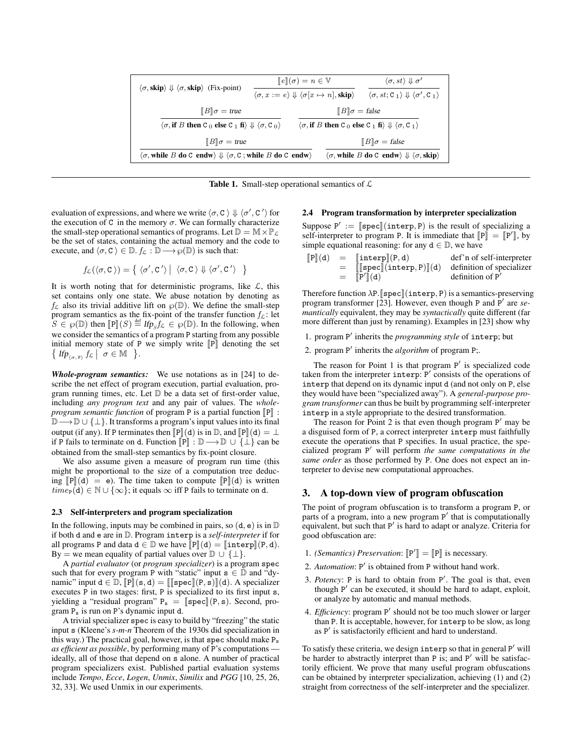| $\langle \sigma, \mathbf{skip} \rangle \Downarrow \langle \sigma, \mathbf{skip} \rangle$ (Fix-point)                                                                        | $  e  (\sigma) = n \in V$                                                                                                    | $\langle \sigma, st \rangle \Downarrow \sigma'$                           |  |  |
|-----------------------------------------------------------------------------------------------------------------------------------------------------------------------------|------------------------------------------------------------------------------------------------------------------------------|---------------------------------------------------------------------------|--|--|
|                                                                                                                                                                             | $\langle \sigma, x := e \rangle \Downarrow \langle \sigma[x \mapsto n], \text{skip} \rangle$                                 | $\langle \sigma, st; C_1 \rangle \Downarrow \langle \sigma', C_1 \rangle$ |  |  |
| $\llbracket B \rrbracket \sigma = \text{true}$                                                                                                                              |                                                                                                                              | $  B  \sigma = false$                                                     |  |  |
| $\langle \sigma, \text{if } B \text{ then } C_0 \text{ else } C_1 \text{ fi} \rangle \Downarrow \langle \sigma, C_0 \rangle$                                                | $\langle \sigma, \text{if } B \text{ then } C_0 \text{ else } C_1 \text{ fi} \rangle \Downarrow \langle \sigma, C_1 \rangle$ |                                                                           |  |  |
| $  B  \sigma = true$                                                                                                                                                        |                                                                                                                              | $\llbracket B \rrbracket \sigma = \text{false}$                           |  |  |
| $\langle \sigma,$ while $B$ do C endw) $\Downarrow$ $\langle \sigma,$ C ; while $B$ do C endw)<br>$\langle \sigma$ , while B do C endw) $\Downarrow \langle \sigma$ , skip) |                                                                                                                              |                                                                           |  |  |

**Table 1.** Small-step operational semantics of  $\mathcal{L}$ 

evaluation of expressions, and where we write  $\langle \sigma, C \rangle \Downarrow \langle \sigma', C' \rangle$  for the execution of C in the memory  $\sigma$ . We can formally characterize the small-step operational semantics of programs. Let  $\mathbb{D} = \mathbb{M} \times \mathbb{P}_{\mathcal{L}}$ be the set of states, containing the actual memory and the code to execute, and  $\langle \sigma, C \rangle \in \mathbb{D}$ .  $f_{\mathcal{L}} : \mathbb{D} \longrightarrow \wp(\mathbb{D})$  is such that:

$$
f_{\mathcal{L}}(\langle \sigma, C \rangle) = \{ \langle \sigma', C' \rangle \mid \langle \sigma, C \rangle \Downarrow \langle \sigma', C' \rangle \}
$$

It is worth noting that for deterministic programs, like  $\mathcal{L}$ , this set contains only one state. We abuse notation by denoting as  $f_{\mathcal{L}}$  also its trivial additive lift on  $\wp(\mathbb{D})$ . We define the small-step program semantics as the fix-point of the transfer function  $f_c$ : let  $S \in \mathcal{S}(\mathbb{D})$  then  $[\mathbb{P}](S) \stackrel{\text{def}}{=} \text{H} \hat{p}_S f_{\mathcal{L}} \in \mathcal{S}(\mathbb{D})$ . In the following, when we consider the semantics of a program P starting from any possible initial memory state of P we simply write  $\llbracket P \rrbracket$  denoting the set  $\left\{ \text{ If } p_{\langle \sigma, \mathbb{P} \rangle} \text{ } f_{\mathcal{L}} \mid \sigma \in \mathbb{M} \right. \left. \right\}.$ 

*Whole-program semantics:* We use notations as in [24] to describe the net effect of program execution, partial evaluation, program running times, etc. Let D be a data set of first-order value, including *any program text* and any pair of values. The *wholeprogram semantic function* of program  $P$  is a partial function  $\llbracket P \rrbracket$  :  $\mathbb{D}\longrightarrow\mathbb{D}\cup\{\perp\}.$  It transforms a program's input values into its final output (if any). If P terminates then  $\llbracket P \rrbracket(d)$  is in  $\mathbb{D}$ , and  $\llbracket P \rrbracket(d) = \perp$ if P fails to terminate on d. Function  $\llbracket P \rrbracket : \mathbb{D} \longrightarrow \mathbb{D} \cup \{\perp\}$  can be obtained from the small-step semantics by fix-point closure.

We also assume given a measure of program run time (this might be proportional to the size of a computation tree deducing  $\llbracket P \rrbracket(d) = e$ . The time taken to compute  $\llbracket P \rrbracket(d)$  is written  $time_P(d) \in \mathbb{N} \cup \{\infty\}$ ; it equals  $\infty$  iff P fails to terminate on d.

### 2.3 Self-interpreters and program specialization

In the following, inputs may be combined in pairs, so  $(d, e)$  is in  $D$ if both d and e are in D. Program interp is a *self-interpreter* if for all programs P and data  $d \in \mathbb{D}$  we have  $\llbracket P \rrbracket(d) = \llbracket \text{interp} \rrbracket(P, d)$ . By = we mean equality of partial values over  $\mathbb{D} \cup {\{\perp\}}$ .

A *partial evaluator* (or *program specializer*) is a program spec such that for every program P with "static" input  $s \in \mathbb{D}$  and "dynamic" input  $d \in \mathbb{D}$ ,  $\llbracket P \rrbracket(\mathbf{s}, d) = \llbracket \llbracket \mathbf{spec} \rrbracket(\mathbf{P}, \mathbf{s}) \rrbracket(d)$ . A specializer executes P in two stages: first, P is specialized to its first input s, yielding a "residual program"  $P_s = \llbracket \text{spec} \rrbracket(P, s)$ . Second, program  $P_s$  is run on P's dynamic input d.

A trivial specializer spec is easy to build by "freezing" the static input s (Kleene's *s-m-n* Theorem of the 1930s did specialization in this way.) The practical goal, however, is that spec should make  $P_s$ *as efficient as possible*, by performing many of P's computations ideally, all of those that depend on s alone. A number of practical program specializers exist. Published partial evaluation systems include *Tempo*, *Ecce*, *Logen*, *Unmix*, *Similix* and *PGG* [10, 25, 26, 32, 33]. We used Unmix in our experiments.

#### 2.4 Program transformation by interpreter specialization

Suppose  $P' := \llbracket \text{spec} \rrbracket (\text{interp}, P)$  is the result of specializing a self-interpreter to program P. It is immediate that  $\llbracket P \rrbracket - \llbracket P' \rrbracket$  by self-interpreter to program P. It is immediate that  $[\![P]\!] = [\![P']\!]$ , by simple equational reasoning; for any  $d \in \mathbb{D}$ , we have simple equational reasoning: for any  $d \in \mathbb{D}$ , we have

|     | $[{\mathbb P}](d) = [interp]({\mathbb P},d)$                                                         | def'n of self-interpreter |
|-----|------------------------------------------------------------------------------------------------------|---------------------------|
| $=$ | $\llbracket \llbracket \textsf{spec} \rrbracket (\textsf{interp},\textsf{P}) \rrbracket(\textsf{d})$ | definition of specializer |
|     | $=$ $[ P' ] (d)$                                                                                     | definition of $P'$        |
|     |                                                                                                      |                           |

Therefore function  $\lambda P$ . [spec] (interp, P) is a semantics-preserving program transformer [23]. However, even though P and P' are *semantically* equivalent, they may be *syntactically* quite different (far more different than just by renaming). Examples in [23] show why

1. program P' inherits the *programming style* of interp; but

2. program P' inherits the *algorithm* of program P;.

The reason for Point 1 is that program  $P'$  is specialized code taken from the interpreter interp:  $P'$  consists of the operations of interp that depend on its dynamic input d (and not only on P, else they would have been "specialized away"). A *general-purpose program transformer* can thus be built by programming self-interpreter interp in a style appropriate to the desired transformation.

The reason for Point 2 is that even though program  $P'$  may be a disguised form of P, a correct interpreter interp must faithfully execute the operations that P specifies. In usual practice, the specialized program P <sup>0</sup> will perform *the same computations in the same order* as those performed by P. One does not expect an interpreter to devise new computational approaches.

# 3. A top-down view of program obfuscation

The point of program obfuscation is to transform a program P, or parts of a program, into a new program P' that is computationally equivalent, but such that P' is hard to adapt or analyze. Criteria for good obfuscation are:

- 1. *(Semantics) Preservation*:  $[\mathbb{P}'] = [\mathbb{P}]$  is necessary.
- 2. Automation: P' is obtained from P without hand work.
- 3. Potency: P is hard to obtain from P'. The goal is that, even though P' can be executed, it should be hard to adapt, exploit, or analyze by automatic and manual methods.
- 4. *Efficiency*: program P' should not be too much slower or larger than P. It is acceptable, however, for interp to be slow, as long as P' is satisfactorily efficient and hard to understand.

To satisfy these criteria, we design interp so that in general P' will be harder to abstractly interpret than P is; and P' will be satisfactorily efficient. We prove that many useful program obfuscations can be obtained by interpreter specialization, achieving (1) and (2) straight from correctness of the self-interpreter and the specializer.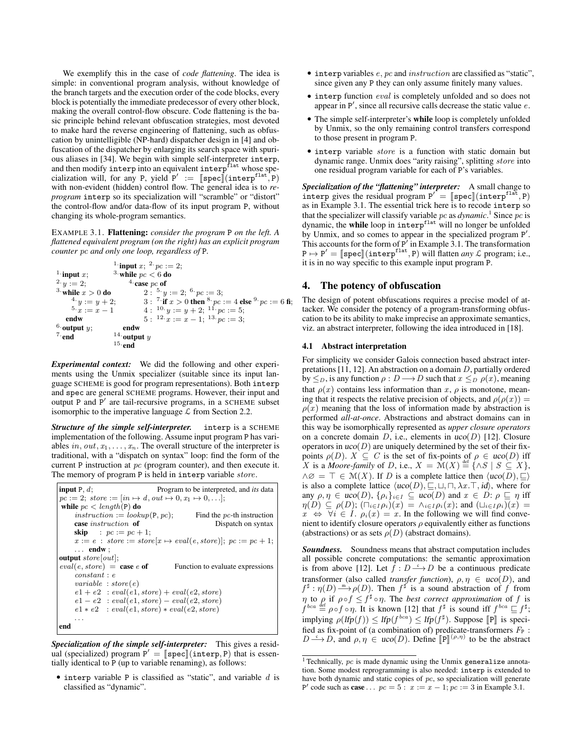We exemplify this in the case of *code flattening*. The idea is simple: in conventional program analysis, without knowledge of the branch targets and the execution order of the code blocks, every block is potentially the immediate predecessor of every other block, making the overall control-flow obscure. Code flattening is the basic principle behind relevant obfuscation strategies, most devoted to make hard the reverse engineering of flattening, such as obfuscation by unintelligible (NP-hard) dispatcher design in [4] and obfuscation of the dispatcher by enlarging its search space with spurious aliases in [34]. We begin with simple self-interpreter interp, and then modify interp into an equivalent interp<sup>flat</sup> whose specialization will, for any P, yield  $P' := \llbracket \text{spec} \rrbracket (\text{interp}^{\text{flat}}, P)$ <br>with non-evident (hidden) control flow. The general idea is to rewith non-evident (hidden) control flow. The general idea is to *reprogram* interp so its specialization will "scramble" or "distort" the control-flow and/or data-flow of its input program P, without changing its whole-program semantics.

EXAMPLE 3.1. Flattening: *consider the program* P *on the left. A flattened equivalent program (on the right) has an explicit program counter* pc *and only one loop, regardless of* P*.*

```
<sup>1</sup>·input x;
2 \cdot y := 2;^3 while x>0 do
       4 \cdot y := y + 2;5 \cdot x := x - 1endw
6.output y;
7 \cdotend
                            <sup>1</sup> input x; <sup>2</sup> pc := 2;
                            <sup>3.</sup> while pc < 6 do
                                    4 case pc of
                                          2: \frac{5}{9}y := 2; \frac{6}{9}pc := 3;3: \, 7 \text{ if } x > 0 \text{ then } ^8 \text{ } pc := 4 \text{ else } ^{9} \text{ } pc := 6 \text{ fi};4: \, {}^{10.}y := y + 2; \, {}^{11.}pc := 5;5: \frac{12}{x} := x - 1; \frac{13}{x} = 3;endw
                            ^{14}\cdot output y15 \cdotend
```
*Experimental context:* We did the following and other experiments using the Unmix specializer (suitable since its input language SCHEME is good for program representations). Both interp and spec are general SCHEME programs. However, their input and output P and P' are tail-recursive programs, in a SCHEME subset isomorphic to the imperative language  $\mathcal L$  from Section 2.2.

*Structure of the simple self-interpreter.* interp is a SCHEME implementation of the following. Assume input program P has variables in, out,  $x_1, \ldots, x_n$ . The overall structure of the interpreter is traditional, with a "dispatch on syntax" loop: find the form of the current P instruction at pc (program counter), and then execute it. The memory of program P is held in interp variable *store*.

```
input P, d; Program to be interpreted, and its data
pc := 2; store := [in \mapsto d, out \mapsto 0, x_1 \mapsto 0, \ldots];while pc < length(P) do
     instruction := lookup(P, pc); Find the pc-th instruction case instruction of Dispatch on syntax
     case instruction of
     skip : pc := pc + 1;x := e: store := store[x \mapsto eval(e, store)]; pc := pc + 1;
     . . . endw ;
output store[out];<br>eval(e, store) = case eof
                                       Function to evaluate expressions
     constant : \boldsymbol{e}variable : store(e)e1 + e2: eval(e1, store) + eval(e2, store)e1 - e2: eval(e1, store) - eval(e2, store)e1 * e2 : eval(e1, store) * eval(e2, store). . .
end
```
*Specialization of the simple self-interpreter:* This gives a residual (specialized) program  $P' = \llbracket \text{spec} \rrbracket (\text{interp}, P)$  that is essentially identical to P (up to variable renaming) as follows: tially identical to P (up to variable renaming), as follows:

 $\bullet$  interp variable P is classified as "static", and variable  $d$  is classified as "dynamic".

- $\bullet$  interp variables  $e$ ,  $pc$  and instruction are classified as "static", since given any P they can only assume finitely many values.
- interp function eval is completely unfolded and so does not appear in  $P'$ , since all recursive calls decrease the static value  $e$ .
- The simple self-interpreter's while loop is completely unfolded by Unmix, so the only remaining control transfers correspond to those present in program P.
- interp variable store is a function with static domain but dynamic range. Unmix does "arity raising", splitting store into one residual program variable for each of P's variables.

*Specialization of the "flattening" interpreter:* A small change to interp gives the residual program  $P' = \llbracket \text{spec} \rrbracket (\text{interp}^{\text{flat}}, P)$ <br>as in Example 3.1. The essential trick here is to recode interpsion as in Example 3.1. The essential trick here is to recode interp so that the specializer will classify variable pc as  $d$ ynamic.<sup>1</sup> Since pc is dynamic, the while loop in interp<sup>flat</sup> will no longer be unfolded by Unmix, and so comes to appear in the specialized program P'. This accounts for the form of  $\overline{P}^7$  in Example 3.1. The transformation  $P \mapsto P' = \llbracket \text{spec} \rrbracket (\text{interp}^{\text{flat}}, P)$  will flatten *any*  $\mathcal L$  program; i.e., it is in no way specific to this example input program P it is in no way specific to this example input program P.

# 4. The potency of obfuscation

The design of potent obfuscations requires a precise model of attacker. We consider the potency of a program-transforming obfuscation to be its ability to make imprecise an approximate semantics, viz. an abstract interpreter, following the idea introduced in [18].

## 4.1 Abstract interpretation

For simplicity we consider Galois connection based abstract interpretations [11, 12]. An abstraction on a domain D, partially ordered by  $\leq_D$ , is any function  $\rho: D \longrightarrow D$  such that  $x \leq_D \rho(x)$ , meaning that  $\rho(x)$  contains less information than x,  $\rho$  is monotone, meaning that it respects the relative precision of objects, and  $\rho(\rho(x)) =$  $\rho(x)$  meaning that the loss of information made by abstraction is performed *all-at-once*. Abstractions and abstract domains can in this way be isomorphically represented as *upper closure operators* on a concrete domain D, i.e., elements in  $uco(D)$  [12]. Closure operators in  $uco(D)$  are uniquely determined by the set of their fixpoints  $\rho(D)$ .  $X \subseteq C$  is the set of fix-points of  $\rho \in uco(D)$  iff X is a *Moore-family* of D, i.e.,  $X = \mathcal{M}(X) \stackrel{\text{def}}{=} {\{ \land S \mid S \subseteq X \}}$ ,  $\wedge \varnothing = \top \in \mathcal{M}(X)$ . If D is a complete lattice then  $\langle u\text{co}(D), \sqsubseteq \rangle$ is also a complete lattice  $\langle u\text{co}(D), \sqsubseteq, \sqcup, \sqcap, \lambda x. \top, id \rangle$ , where for any  $\rho, \eta \in uco(D), \{\rho_i\}_{i \in I} \subseteq uco(D)$  and  $x \in D$ :  $\rho \sqsubseteq \eta$  iff  $\eta(D) \subseteq \rho(D)$ ;  $(\bigcap_{i \in I} \rho_i)(x) = \bigcap_{i \in I} \rho_i(x)$ ; and  $(\bigcup_{i \in I} \rho_i)(x) =$  $x \Leftrightarrow \forall i \in I$ .  $\rho_i(x) = x$ . In the following we will find convenient to identify closure operators  $\rho$  equivalently either as functions (abstractions) or as sets  $\rho(D)$  (abstract domains).

*Soundness.* Soundness means that abstract computation includes all possible concrete computations: the semantic approximation is from above [12]. Let  $\hat{f}: D \xrightarrow{c} D$  be a continuous predicate transformer (also called *transfer function*),  $\rho, \eta \in uco(D)$ , and  $f^{\sharp}: \eta(D) \longrightarrow \rho(D)$ . Then  $f^{\sharp}$  is a sound abstraction of f from  $\eta$  to  $\rho$  if  $\rho \circ f \leq f^{\sharp} \circ \eta$ . The *best correct approximation* of f is  $f^{bca} \stackrel{\text{def}}{=} \rho \circ f \circ \eta$ . It is known [12] that  $f^{\sharp}$  is sound iff  $f^{bca} \sqsubseteq f^{\sharp}$ ; implying  $\rho(Ifp(f)) \leq Ifp(f^{bca}) \leq Ifp(f^{\sharp}).$  Suppose  $[\![P]\!]$  is speci-<br>fied as fix point of (a combination of) predicate transformers  $F \rightarrow$ fied as fix-point of (a combination of) predicate-transformers  $F_P$ :  $D \longrightarrow D$ , and  $\rho, \eta \in uco(D)$ . Define  $[\![\mathbb{P}]\!]^{(\rho, \eta)}$  to be the abstract

<sup>&</sup>lt;sup>1</sup> Technically,  $pc$  is made dynamic using the Unmix generalize annotation. Some modest reprogramming is also needed: interp is extended to have both dynamic and static copies of pc, so specialization will generate P' code such as **case** . . .  $pc = 5$ :  $x := x - 1$ ;  $pc := 3$  in Example 3.1.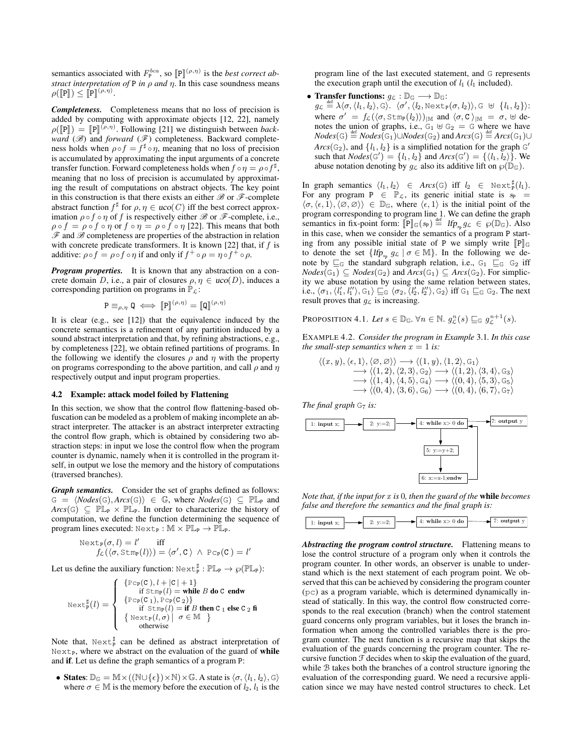semantics associated with  $F_P^{bca}$ , so  $[\![\mathbf{P}]\!]^{(\rho,\eta)}$  is the *best correct ab-*<br>*street interpretation of B in a gud n*. In this case soundness means *stract interpretation of*  $P$  *in*  $\rho$  *and*  $\eta$ . In this case soundness means  $\rho([\mathbb{P}]) \leq [\mathbb{P}]^{(\rho,\eta)}.$ 

*Completeness.* Completeness means that no loss of precision is added by computing with approximate objects [12, 22], namely  $\rho([\mathbb{P}]) = [\mathbb{P}]^{(\rho,\eta)}$ . Following [21] we distinguish between *back-*<br>ward (*B*) and forward (*R*) completeness. Backward complete. *ward* ( $\mathscr{B}$ ) and *forward* ( $\mathscr{F}$ ) completeness. Backward completeness holds when  $\rho \circ f = f^{\sharp} \circ \eta$ , meaning that no loss of precision is accumulated by approximating the input arguments of a concrete transfer function. Forward completeness holds when  $f \circ \eta = \rho \circ f^{\sharp}$ , meaning that no loss of precision is accumulated by approximating the result of computations on abstract objects. The key point in this construction is that there exists an either  $\mathscr B$  or  $\mathscr F$ -complete abstract function  $f^{\sharp}$  for  $\rho, \eta \in uco(C)$  iff the best correct approximation  $\rho \circ f \circ \eta$  of f is respectively either  $\mathcal B$  or  $\mathcal F$ -complete, i.e.,  $\rho \circ f = \rho \circ f \circ \eta$  or  $f \circ \eta = \rho \circ f \circ \eta$  [22]. This means that both  $\mathscr F$  and  $\mathscr B$  completeness are properties of the abstraction in relation with concrete predicate transformers. It is known [22] that, if  $f$  is additive:  $\rho \circ f = \rho \circ f \circ \eta$  if and only if  $f^+ \circ \rho = \eta \circ f^+ \circ \rho$ .

*Program properties.* It is known that any abstraction on a concrete domain D, i.e., a pair of closures  $\rho, \eta \in uco(D)$ , induces a corresponding partition on programs in  $\mathbb{P}_{\mathcal{L}}$ :

$$
\mathbf{P} \equiv_{\rho,\eta} \mathbf{Q} \iff \llbracket \mathbf{P} \rrbracket^{(\rho,\eta)} = \llbracket \mathbf{Q} \rrbracket^{(\rho,\eta)}
$$

It is clear (e.g., see [12]) that the equivalence induced by the concrete semantics is a refinement of any partition induced by a sound abstract interpretation and that, by refining abstractions, e.g., by completeness [22], we obtain refined partitions of programs. In the following we identify the closures  $\rho$  and  $\eta$  with the property on programs corresponding to the above partition, and call  $\rho$  and  $\eta$ respectively output and input program properties.

### 4.2 Example: attack model foiled by Flattening

In this section, we show that the control flow flattening-based obfuscation can be modeled as a problem of making incomplete an abstract interpreter. The attacker is an abstract interpreter extracting the control flow graph, which is obtained by considering two abstraction steps: in input we lose the control flow when the program counter is dynamic, namely when it is controlled in the program itself, in output we lose the memory and the history of computations (traversed branches).

*Graph semantics.* Consider the set of graphs defined as follows:  $G = \langle Nodes(G), Arcs(G) \rangle \in \mathbb{G}$ , where  $Nodes(G) \subseteq \mathbb{PL}_P$  and  $Arcs(G) \subseteq \mathbb{PL}_P \times \mathbb{PL}_P$ . In order to characterize the history of computation, we define the function determining the sequence of program lines executed:  $Next_P : M \times PL_P \rightarrow PL_P$ .

Next<sub>P</sub>(
$$
\sigma
$$
,  $l$ ) =  $l'$  iff  
\n
$$
f_{\mathcal{L}}(\langle \sigma, \text{Stm}_{P}(l) \rangle) = \langle \sigma', C \rangle \land \text{PC}_{P}(C) = l'
$$

Let us define the auxiliary function:  $\text{Next}^{\sharp}_{P} : \mathbb{PL}_{P} \to \wp(\mathbb{PL}_{P})$ :

$$
\text{Next}_{\mathsf{P}}^{\sharp}(l) = \left\{\begin{array}{l}\{\texttt{Pcp}(\mathsf{C}),l+|\mathsf{C}|+1\}\\ \text{if } \texttt{Stmp}(l) = \text{while }B\text{ do }\mathsf{C}\text{ endw} \\ \{\texttt{Pcp}(\mathsf{C}_1),\texttt{Pcp}(\mathsf{C}_2)\} \\ \text{if } \texttt{Stmp}(l) = \text{if }B\text{ then }\mathsf{C}_1\text{ else }\mathsf{C}_2\text{ fi} \\ \{\texttt{Next}_{\mathsf{P}}(l,\sigma)\big|\ \sigma\in\mathbb{M}\end{array}\right\}
$$

Note that,  $Next_{P}^{\sharp}$  can be defined as abstract interpretation of  $Next<sub>P</sub>$ , where we abstract on the evaluation of the guard of while and if. Let us define the graph semantics of a program P:

• States:  $\mathbb{D}_{\mathbb{G}} = \mathbb{M} \times ((\mathbb{N} \cup {\epsilon}) \times \mathbb{N}) \times \mathbb{G}$ . A state is  $\langle \sigma, \langle l_1, l_2 \rangle, \mathbb{G} \rangle$ where  $\sigma \in \mathbb{M}$  is the memory before the execution of  $l_2$ ,  $l_1$  is the program line of the last executed statement, and G represents the execution graph until the execution of  $l_1$  ( $l_1$  included).

• Transfer functions:  $g_{\mathcal{L}} : \mathbb{D}_{\mathbb{G}} \longrightarrow \mathbb{D}_{\mathbb{G}}$ :  $g_{\mathcal{L}} \stackrel{\text{def}}{=} \lambda \langle \sigma, \langle l_1, l_2 \rangle, \mathbb{G} \rangle$ .  $\langle \sigma', \langle l_2, \text{Next}_{\mathbb{P}}(\sigma, l_2) \rangle, \mathbb{G} \; \uplus \; \{l_1, l_2\} \rangle$ : where  $\sigma' = f_{\mathcal{L}}(\langle \sigma, \text{Stm}_P(l_2) \rangle)_{|\mathbb{M}}$  and  $\langle \sigma, C \rangle_{|\mathbb{M}} = \sigma$ ,  $\forall$  denotes the union of graphs, i.e.,  $G_1 \oplus G_2 = G$  where we have  $Nodes(G) \stackrel{\text{def}}{=} Nodes(G_1) \cup Nodes(G_2)$  and  $Arcs(G) \stackrel{\text{def}}{=} Arcs(G_1) \cup$  $Arcs(G_2)$ , and  $\{l_1, l_2\}$  is a simplified notation for the graph  $G'$ such that  $Nodes(\mathcal{G}') = \{l_1, l_2\}$  and  $Arcs(\mathcal{G}') = \{\langle l_1, l_2\rangle\}$ . We abuse notation denoting by  $g_{\mathcal{L}}$  also its additive lift on  $\wp(\mathbb{D}_{\mathbb{G}})$ .

In graph semantics  $\langle l_1, l_2 \rangle \in Arcs(\mathbb{G})$  iff  $l_2 \in \text{Next}_{\mathbb{P}}^{\sharp}(l_1)$ . For any program P  $\in$   $\mathbb{P}_{\mathcal{L}}$ , its generic initial state is  $s_{\mathbb{P}} =$  $\langle \sigma, \langle \epsilon, 1 \rangle, \langle \emptyset, \emptyset \rangle \rangle \in \mathbb{D}_{\mathbb{G}}$ , where  $\langle \epsilon, 1 \rangle$  is the initial point of the program corresponding to program line 1. We can define the graph semantics in fix-point form:  $[\![\mathbf{P}]\!]_{\mathbb{G}}(s_{\mathbf{P}}) \stackrel{\text{def}}{=}$   $\text{If}_{\mathcal{P}_s,g_{\mathcal{L}}} \in \mathcal{G}(\mathbb{D}_{\mathbb{G}})$ . Also in this case, when we consider the semantics of a program P starting from any possible initial state of P we simply write  $\llbracket P \rrbracket$ to denote the set  $\{$ *If* $p_{s_p}$   $g_L$   $\sigma \in M\}$ . In the following we denote by  $\sqsubseteq_{\mathbb{G}}$  the standard subgraph relation, i.e.,  $G_1 \sqsubseteq_{\mathbb{G}} G_2$  iff *Nodes*( $G_1$ ) ⊆ *Nodes*( $G_2$ ) and  $\text{Arcs}(G_1)$  ⊆  $\text{Arcs}(G_2)$ . For simplicity we abuse notation by using the same relation between states, i.e.,  $\langle \sigma_1, \langle l'_1, l''_1 \rangle, G_1 \rangle \sqsubseteq_{\mathbb{G}} \langle \sigma_2, \langle l'_2, l''_2 \rangle, G_2 \rangle$  iff  $G_1 \sqsubseteq_{\mathbb{G}} G_2$ . The next result proves that  $q_{\mathcal{L}}$  is increasing.

PROPOSITION 4.1. Let  $s \in \mathbb{D}_{\mathbb{G}}$ .  $\forall n \in \mathbb{N}$ .  $g_{\mathcal{L}}^{n}(s) \sqsubseteq_{\mathbb{G}} g_{\mathcal{L}}^{n+1}(s)$ .

EXAMPLE 4.2. *Consider the program in Example* 3.1*. In this case the small-step semantics when*  $x = 1$  *is:* 

$$
\langle (x, y), \langle \epsilon, 1 \rangle, \langle \varnothing, \varnothing \rangle \rangle \longrightarrow \langle (1, y), \langle 1, 2 \rangle, \varsigma_1 \rangle \n\longrightarrow \langle (1, 2), \langle 2, 3 \rangle, \varsigma_2 \rangle \longrightarrow \langle (1, 2), \langle 3, 4 \rangle, \varsigma_3 \rangle \n\longrightarrow \langle (1, 4), \langle 4, 5 \rangle, \varsigma_4 \rangle \longrightarrow \langle (0, 4), \langle 5, 3 \rangle, \varsigma_5 \rangle \n\longrightarrow \langle (0, 4), \langle 3, 6 \rangle, \varsigma_6 \rangle \longrightarrow \langle (0, 4), \langle 6, 7 \rangle, \varsigma_7 \rangle
$$

*The final graph*  $G_7$  *is:* 



*Note that, if the input for* x *is* 0*, then the guard of the* while *becomes false and therefore the semantics and the final graph is:*



*Abstracting the program control structure.* Flattening means to lose the control structure of a program only when it controls the program counter. In other words, an observer is unable to understand which is the next statement of each program point. We observed that this can be achieved by considering the program counter (pc) as a program variable, which is determined dynamically instead of statically. In this way, the control flow constructed corresponds to the real execution (branch) when the control statement guard concerns only program variables, but it loses the branch information when among the controlled variables there is the program counter. The next function is a recursive map that skips the evaluation of the guards concerning the program counter. The recursive function  $\mathcal F$  decides when to skip the evaluation of the guard, while B takes both the branches of a control structure ignoring the evaluation of the corresponding guard. We need a recursive application since we may have nested control structures to check. Let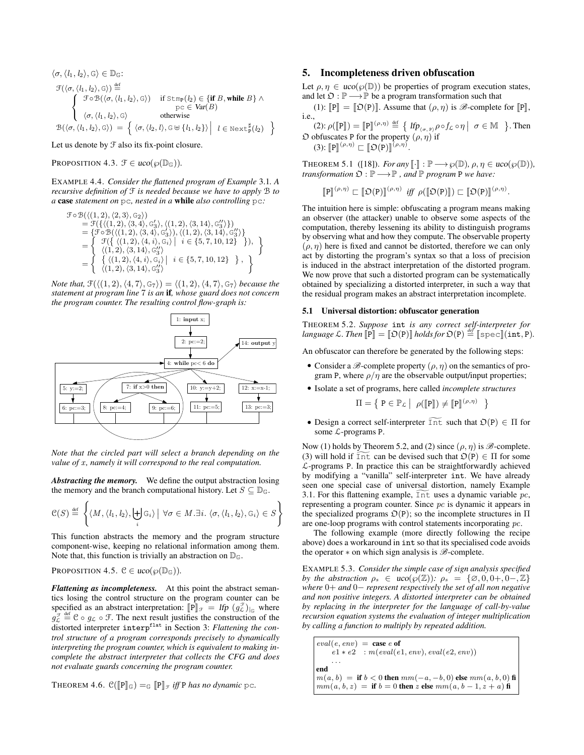$$
\langle \sigma, \langle l_1, l_2 \rangle, \mathbf{G} \rangle \in \mathbb{D}_{\mathbb{G}}:\n\mathcal{F}(\langle \sigma, \langle l_1, l_2 \rangle, \mathbf{G} \rangle) \stackrel{\text{def}}{=} \n\begin{cases}\n\mathcal{F} \circ \mathcal{B}(\langle \sigma, \langle l_1, l_2 \rangle, \mathbf{G} \rangle) & \text{if } \text{Stmp}(l_2) \in \{\text{if } B, \text{while } B \} \land \\
\mathcal{F} \circ \mathcal{B}(\langle \sigma, \langle l_1, l_2 \rangle, \mathbf{G} \rangle) & \text{otherwise} \\
\langle \sigma, \langle l_1, l_2 \rangle, \mathbf{G} \rangle & \text{otherwise}\n\end{cases}
$$
\n
$$
\mathcal{B}(\langle \sigma, \langle l_1, l_2 \rangle, \mathbf{G} \rangle) = \left\{ \langle \sigma, \langle l_2, l \rangle, \mathbf{G} \oplus \{l_1, l_2\} \rangle \middle| l \in \text{Next}_{\mathbf{P}}^{\sharp}(l_2) \right\}
$$

Let us denote by  $\mathcal F$  also its fix-point closure.

PROPOSITION 4.3.  $\mathcal{F} \in uco(\varphi(\mathbb{D}_{\mathbb{G}}))$ .

EXAMPLE 4.4. *Consider the flattened program of Example* 3.1*. A recursive definition of* F *is needed because we have to apply* B *to a* case *statement on* pc*, nested in a* while *also controlling* pc*:*

$$
\mathcal{F} \circ \mathcal{B}(\langle (1, 2), \langle 2, 3 \rangle, \mathbb{G}_2 \rangle) \n= \mathcal{F}(\{ \langle (1, 2), \langle 3, 4 \rangle, \mathbb{G}_3' \rangle, \langle (1, 2), \langle 3, 14 \rangle, \mathbb{G}_3'' \rangle \}) \n= \{ \mathcal{F} \circ \mathcal{B}(\langle (1, 2), \langle 3, 4 \rangle, \mathbb{G}_3' \rangle), \langle (1, 2), \langle 3, 14 \rangle, \mathbb{G}_3'' \rangle \} \n= \left\{ \begin{array}{l} \mathcal{F}(\{ \langle (1, 2), \langle 4, i \rangle, \mathbb{G}_i \rangle \mid i \in \{5, 7, 10, 12\} \end{array} \right\} \right), \n= \left\{ \begin{array}{l} \mathcal{F}(\{ \langle (1, 2), \langle 3, 14 \rangle, \mathbb{G}_3'' \rangle \} \\ \langle (1, 2), \langle 4, i \rangle, \mathbb{G}_i \rangle \mid i \in \{5, 7, 10, 12\} \end{array} \right\} , \right\}
$$

*Note that,*  $\mathcal{F}(\langle (1, 2), \langle 4, 7 \rangle, \mathsf{G}_7 \rangle) = \langle (1, 2), \langle 4, 7 \rangle, \mathsf{G}_7 \rangle$  *because the statement at program line* 7 *is an* if*, whose guard does not concern the program counter. The resulting control flow-graph is:*



*Note that the circled part will select a branch depending on the value of x, namely it will correspond to the real computation.* 

*Abstracting the memory.* We define the output abstraction losing the memory and the branch computational history. Let  $S \subseteq \mathbb{D}_{\mathbb{G}}$ .

$$
\mathcal{C}(S) \stackrel{\text{def}}{=} \left\{ \langle M, \langle l_1, l_2 \rangle, \biguplus_i \mathcal{G}_i \rangle \mid \forall \sigma \in M. \exists i. \langle \sigma, \langle l_1, l_2 \rangle, \mathcal{G}_i \rangle \in S \right\}
$$

This function abstracts the memory and the program structure component-wise, keeping no relational information among them. Note that, this function is trivially an abstraction on  $\mathbb{D}_{\mathbb{G}}$ .

PROPOSITION 4.5.  $C \in uco(\wp(\mathbb{D}_{\mathbb{G}}))$ .

*Flattening as incompleteness.* At this point the abstract semantics losing the control structure on the program counter can be specified as an abstract interpretation:  $[\![P]\!]_F = lfp (g_{\mathcal{L}}^{\mathcal{F}})_{\vert_G}$  where  $g_{\mathcal{L}}^{\mathcal{F}} \stackrel{\text{def}}{=} \mathcal{C} \circ g_{\mathcal{L}} \circ \mathcal{F}$ . The next result justifies the construction of the distorted interpreter interpflat in Section 3: *Flattening the control structure of a program corresponds precisely to dynamically interpreting the program counter, which is equivalent to making incomplete the abstract interpreter that collects the CFG and does not evaluate guards concerning the program counter.*

THEOREM 4.6.  $\mathcal{C}(\llbracket P \rrbracket_{\mathbb{G}}) =_{\mathbb{G}} \llbracket P \rrbracket_{\mathcal{F}}$  *iff* P *has no dynamic* pc.

# 5. Incompleteness driven obfuscation

Let  $\rho, \eta \in uco(\varphi(\mathbb{D}))$  be properties of program execution states, and let  $\mathfrak{O} : \mathbb{P} \longrightarrow \mathbb{P}$  be a program transformation such that

(1):  $\mathbb{P}$   $\mathbb{P}$  =  $\mathbb{D}(\mathbb{P})$ . Assume that  $(\rho, \eta)$  is  $\mathscr{B}$ -complete for  $\mathbb{P}$ , i.e.,

 $(2):\rho([\mathbb{P}]) = [\mathbb{P}](\rho,\eta) \stackrel{\text{def}}{=} \{ \text{ If } p_{(\sigma,\mathbb{P})}\rho \circ f_{\mathcal{L}} \circ \eta \mid \sigma \in \mathbb{M} \}$ . Then  $\mathfrak O$  obfuscates P for the property  $(\rho, \eta)$  if (3):  $\llbracket P \rrbracket^{(\rho,\eta)} \sqsubset \llbracket \mathfrak{O}(P) \rrbracket^{(\rho,\eta)}.$ 

THEOREM 5.1 ([18]). *For any*  $\llbracket \cdot \rrbracket : \mathbb{P} \longrightarrow \wp(\mathbb{D}), \rho, \eta \in \text{uco}(\wp(\mathbb{D})),$ *transformation*  $\mathfrak{D} : \mathbb{P} \longrightarrow \mathbb{P}$ , and  $\mathbb{P}$  *program* P *we have:* 

$$
\llbracket P \rrbracket^{(\rho,\eta)} \sqsubset \llbracket \mathfrak{O}(P) \rrbracket^{(\rho,\eta)} \text{ iff } \rho(\llbracket \mathfrak{O}(P) \rrbracket) \sqsubset \llbracket \mathfrak{O}(P) \rrbracket^{(\rho,\eta)}.
$$

The intuition here is simple: obfuscating a program means making an observer (the attacker) unable to observe some aspects of the computation, thereby lessening its ability to distinguish programs by observing what and how they compute. The observable property  $(\rho, \eta)$  here is fixed and cannot be distorted, therefore we can only act by distorting the program's syntax so that a loss of precision is induced in the abstract interpretation of the distorted program. We now prove that such a distorted program can be systematically obtained by specializing a distorted interpreter, in such a way that the residual program makes an abstract interpretation incomplete.

#### 5.1 Universal distortion: obfuscator generation

THEOREM 5.2. *Suppose* int *is any correct self-interpreter for language*  $\mathcal{L}$ *. Then*  $\llbracket \mathbf{\dot{P}} \rrbracket = \llbracket \mathfrak{O}(P) \rrbracket$  *holds for*  $\mathfrak{O}(P) \stackrel{\text{def}}{=} \llbracket \text{spec} \rrbracket (\text{int}, P)$ *.* 

An obfuscator can therefore be generated by the following steps:

- Consider a  $\mathscr{B}$ -complete property  $(\rho, \eta)$  on the semantics of program P, where  $\rho/\eta$  are the observable output/input properties;
- Isolate a set of programs, here called *incomplete structures*

$$
\Pi = \left\{ \mathbf{P} \in \mathbb{P}_{\mathcal{L}} \middle| \rho([\![\mathbf{P}]\!]) \neq [\![\mathbf{P}]\!]^{(\rho,\eta)} \right\}
$$

• Design a correct self-interpreter  $\widetilde{\text{Int}}$  such that  $\mathfrak{O}(\overline{P}) \in \Pi$  for some  $\mathcal{L}$ -programs P.

Now (1) holds by Theorem 5.2, and (2) since  $(\rho, \eta)$  is  $\mathscr{B}$ -complete. (3) will hold if  $\widetilde{\text{Int}}$  can be devised such that  $\mathfrak{O}(P) \in \Pi$  for some L-programs P. In practice this can be straightforwardly achieved by modifying a "vanilla" self-interpreter int. We have already seen one special case of universal distortion, namely Example 3.1. For this flattening example,  $Int$  uses a dynamic variable  $pc$ , representing a program counter. Since pc is dynamic it appears in the specialized programs  $\mathcal{D}(P)$ ; so the incomplete structures in  $\Pi$ are one-loop programs with control statements incorporating pc.

The following example (more directly following the recipe above) does a workaround in int so that its specialised code avoids the operator  $*$  on which sign analysis is  $\mathscr{B}% _{k}(G)$ -complete.

EXAMPLE 5.3. *Consider the simple case of sign analysis specified by the abstraction*  $\rho_s \in \text{uco}(\wp(\mathbb{Z}))$ :  $\rho_s = {\emptyset, 0, 0+, 0-, \mathbb{Z}}$ *where* 0+ *and* 0− *represent respectively the set of all non negative and non positive integers. A distorted interpreter can be obtained by replacing in the interpreter for the language of call-by-value recursion equation systems the evaluation of integer multiplication by calling a function to multiply by repeated addition.*

 $eval(e, env) = \cose e \text{ of }$  $e1 * e2$ :  $m(eval(e1, env), eval(e2, env))$ . . . end  $m(a, b) =$  if  $b < 0$  then  $mm(-a, -b, 0)$  else  $mm(a, b, 0)$  fi  $mm(a, b, z) =$  if  $b = 0$  then z else  $mm(a, b - 1, z + a)$  fi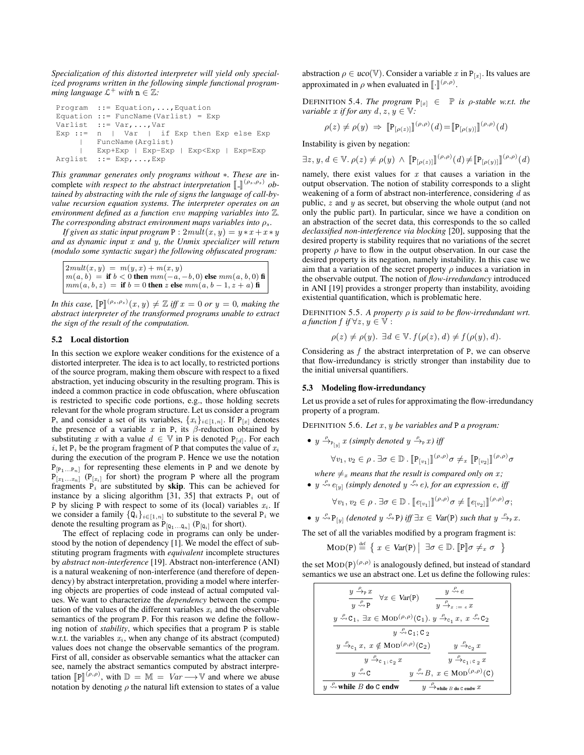*Specialization of this distorted interpreter will yield only specialized programs written in the following simple functional program* $ming$  language  $\mathcal{L}^+$  with  $\mathbf{n} \in \mathbb{Z}$ .

```
Program ::= Equation,...,Equation
Equation ::= FuncName(Varlist) = Exp
Varlist ::= Var,...,Var
Exp ::= n | Var | if Exp then Exp else Exp
    | FuncName(Arglist)
        | Exp+Exp | Exp-Exp | Exp<Exp | Exp=Exp
Arglist ::= Exp,...,Exp
```
*This grammar generates only programs without* ∗*. These are* incomplete *with respect to the abstract interpretation*  $\llbracket \cdot \rrbracket^{(\rho_s, \rho_s)}$  *obtained by abstracting with the rule of signs the language of call-bytained by abstracting with the rule of signs the language of call-byvalue recursion equation systems. The interpreter operates on an environment defined as a function* env *mapping variables into* Z*. The corresponding abstract environment maps variables into*  $ρ<sub>s</sub>$ *.* 

*If given as static input program*  $P : 2mult(x, y) = y * x + x * y$ *and as dynamic input* x *and* y*, the Unmix specializer will return (modulo some syntactic sugar) the following obfuscated program:*

 $2mult(x, y) = m(y, x) + m(x, y)$  $m(a, b) =$  if  $b < 0$  then  $mm(-a, -b, 0)$  else  $mm(a, b, 0)$  fi  $mm(a, b, z) =$  if  $b = 0$  then z else  $mm(a, b - 1, z + a)$  fi

*In this case,*  $[\mathbb{P}]^{(\rho_s, \rho_s)}(x, y) \neq \mathbb{Z}$  *iff*  $x = 0$  *or*  $y = 0$ *, making the*<br>abstract interpreter of the transformed programs unable to extract *abstract interpreter of the transformed programs unable to extract the sign of the result of the computation.*

# 5.2 Local distortion

In this section we explore weaker conditions for the existence of a distorted interpreter. The idea is to act locally, to restricted portions of the source program, making them obscure with respect to a fixed abstraction, yet inducing obscurity in the resulting program. This is indeed a common practice in code obfuscation, where obfuscation is restricted to specific code portions, e.g., those holding secrets relevant for the whole program structure. Let us consider a program P, and consider a set of its variables,  $\{x_i\}_{i\in[1,n]}$ . If  $P_{[x]}$  denotes the presence of a variable x in P, its  $\beta$ -reduction obtained by substituting x with a value  $d \in \mathbb{V}$  in P is denoted  $P_{[d]}$ . For each i, let  $P_i$  be the program fragment of P that computes the value of  $x_i$ during the execution of the program P. Hence we use the notation  $P_{[P_1...P_n]}$  for representing these elements in P and we denote by  $P_{[x_1...x_n]}$  ( $P_{[x_i]}$  for short) the program P where all the program fragments  $P_i$  are substituted by **skip**. This can be achieved for instance by a slicing algorithm [31, 35] that extracts  $P_i$  out of P by slicing P with respect to some of its (local) variables  $x_i$ . If we consider a family  $\{Q_i\}_{i\in[1,n]}$  to substitute to the several  $P_i$  we denote the resulting program as  $P_{[Q_1...Q_n]}$  ( $P_{[Q_i]}$  for short).

The effect of replacing code in programs can only be understood by the notion of dependency [1]. We model the effect of substituting program fragments with *equivalent* incomplete structures by *abstract non-interference* [19]. Abstract non-interference (ANI) is a natural weakening of non-interference (and therefore of dependency) by abstract interpretation, providing a model where interfering objects are properties of code instead of actual computed values. We want to characterize the *dependency* between the computation of the values of the different variables  $x_i$  and the observable semantics of the program P. For this reason we define the following notion of *stability*, which specifies that a program P is stable w.r.t. the variables  $x_i$ , when any change of its abstract (computed) values does not change the observable semantics of the program. First of all, consider as observable semantics what the attacker can see, namely the abstract semantics computed by abstract interpretation  $[\mathbb{P}]^{(\rho,\rho)}$ , with  $\mathbb{D} = \mathbb{M} = Var \longrightarrow V$  and where we abuse<br>potation by denoting c the natural lift extension to states of a value notation by denoting  $\rho$  the natural lift extension to states of a value

abstraction  $\rho \in uco(\mathbb{V})$ . Consider a variable x in  $P_{[x]}$ . Its values are approximated in  $\rho$  when evaluated in  $\llbracket \cdot \rrbracket^{(\rho,\rho)}$ .

DEFINITION 5.4. *The program*  $P_{[x]} \in \mathbb{P}$  *is*  $\rho$ *-stable w.r.t. the variable* x *if for any*  $d, z, y \in \mathbb{V}$ :

$$
\rho(z) \neq \rho(y) \Rightarrow \llbracket P_{[\rho(z)]} \rrbracket^{(\rho,\rho)}(d) = \llbracket P_{[\rho(y)]} \rrbracket^{(\rho,\rho)}(d)
$$

Instability is given by negation:

 $\exists z, y, d \in \mathbb{V}. \rho(z) \neq \rho(y) \land [\![\mathbf{P}_{[\rho(z)]\!]}^{(\rho,\rho)}(d) \neq [\![\mathbf{P}_{[\rho(y)]\!]}^{(\rho,\rho)}(d)]$ 

namely, there exist values for  $x$  that causes a variation in the output observation. The notion of stability corresponds to a slight weakening of a form of abstract non-interference, considering  $d$  as public, z and y as secret, but observing the whole output (and not only the public part). In particular, since we have a condition on an abstraction of the secret data, this corresponds to the so called *declassified non-interference via blocking* [20], supposing that the desired property is stability requires that no variations of the secret property  $\rho$  have to flow in the output observation. In our case the desired property is its negation, namely instability. In this case we aim that a variation of the secret property  $\rho$  induces a variation in the observable output. The notion of *flow-irredundancy* introduced in ANI [19] provides a stronger property than instability, avoiding existential quantification, which is problematic here.

DEFINITION 5.5. *A property* ρ *is said to be flow-irredundant wrt. a function*  $f$  *if*  $\forall z, y \in \mathbb{V}$ :

$$
\rho(z) \neq \rho(y). \exists d \in \mathbb{V}. f(\rho(z), d) \neq f(\rho(y), d).
$$

Considering as  $f$  the abstract interpretation of P, we can observe that flow-irredundancy is strictly stronger than instability due to the initial universal quantifiers.

## 5.3 Modeling flow-irredundancy

Let us provide a set of rules for approximating the flow-irredundancy property of a program.

DEFINITION 5.6. *Let*  $x, y$  *be variables and* P *a program*:

•  $y \xrightarrow{\rho}_{P[y]} x$  (simply denoted  $y \xrightarrow{\rho}_{P}[x]$  iff

$$
\forall v_1, v_2 \in \rho \ . \ \exists \sigma \in \mathbb{D} \ . \ \llbracket \mathbf{P}_{[v_1]} \rrbracket^{(\rho, \rho)} \sigma \neq_x \ \llbracket \mathbf{P}_{[v_2]} \rrbracket^{(\rho, \rho)} \sigma
$$

*where*  $\neq_x$  *means that the result is compared only on x*; •  $y \stackrel{\rho}{\leadsto} e_{[y]}$  (simply denoted  $y \stackrel{\rho}{\leadsto} e$ ), for an expression  $e$ , iff

$$
\forall v_1, v_2 \in \rho \ . \ \exists \sigma \in \mathbb{D} \ . \ \llbracket e_{[v_1]} \rrbracket^{(\rho, \rho)} \sigma \neq \llbracket e_{[v_2]} \rrbracket^{(\rho, \rho)} \sigma;
$$

•  $y \stackrel{\rho}{\leadsto} P_{[y]}$  *(denoted*  $y \stackrel{\rho}{\leadsto} P$ *) iff*  $\exists x \in \text{Var}(P)$  *such that*  $y \stackrel{\rho}{\leadsto} p x$ *.* 

The set of all the variables modified by a program fragment is:

$$
\text{MOD}(P) \stackrel{\text{def}}{=} \left\{ x \in \text{Var}(P) \middle| \exists \sigma \in \mathbb{D}. \left[ \mathbb{P} \right] \sigma \neq_x \sigma \right\}
$$

the set  $\text{MOD}(P)^{(\rho,\rho)}$  is analogously defined, but instead of standard semantics we use an abstract one. Let us define the following rules:

| $y \nightharpoonup_{\mathbb{P}} x$<br>$\forall x \in Var(P)$<br>$y \stackrel{\rho}{\leadsto} P$                                                                  | $y \stackrel{\rho}{\leadsto} e$<br>$y \stackrel{p}{\rightarrow} x := e x$    |  |  |  |
|------------------------------------------------------------------------------------------------------------------------------------------------------------------|------------------------------------------------------------------------------|--|--|--|
| $y \stackrel{\rho}{\leadsto} C_1$ , $\exists x \in \text{MOD}^{(\rho,\rho)}(C_1)$ . $y \stackrel{\rho}{\rightarrow}_{c_1} x$ , $x \stackrel{\rho}{\leadsto} C_2$ |                                                                              |  |  |  |
| $y \stackrel{\mu}{\leadsto} C_1$ ; C <sub>2</sub>                                                                                                                |                                                                              |  |  |  |
| $y \stackrel{\rho}{\rightarrow}_{c_1} x, x \notin \text{MOD}^{(\rho,\rho)}(\mathsf{C}_2)$                                                                        | $y \stackrel{\rho}{\rightarrow}_{c_2} x$                                     |  |  |  |
| $y \xrightarrow{\rho} c_1, c_2 x$                                                                                                                                | $y \stackrel{\rho}{\rightarrow} c_1, c_2 x$                                  |  |  |  |
| $u \stackrel{\rho}{\leadsto} C$                                                                                                                                  | $y \stackrel{\rho}{\leadsto} B, x \in \text{MOD}^{(\rho,\rho)}(\mathcal{C})$ |  |  |  |
| $y \nightharpoonup$ while B do C endw                                                                                                                            | $y \stackrel{P}{\longrightarrow}$ while $B$ do C endw $x$                    |  |  |  |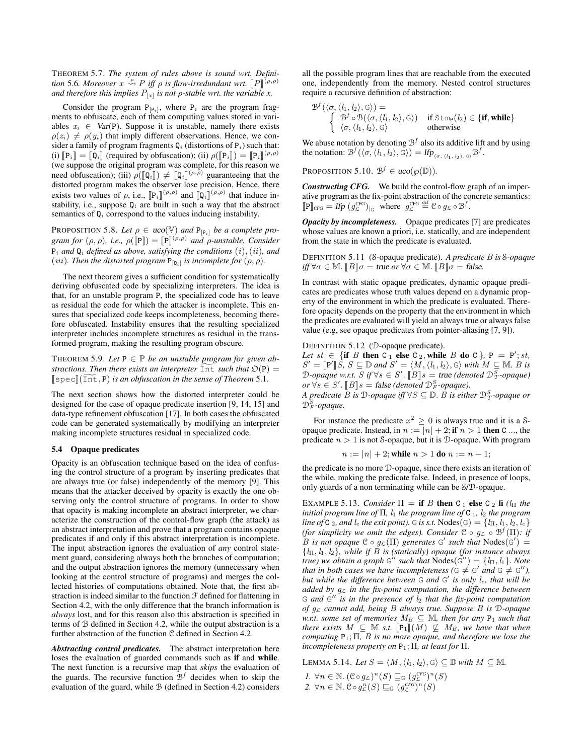THEOREM 5.7. *The system of rules above is sound wrt. Definition* 5.6*. Moreover*  $x \stackrel{\rho}{\leadsto} P$  *iff*  $\rho$  *is flow-irredundant wrt.*  $[P]^{(\rho,\rho)}$ <br>and therefore this implies  $P_1$ , is not o-stable wrt, the variable x and therefore this implies  $P_{[x]}$  is not  $\rho$ -stable wrt. the variable x.

Consider the program  $P_{[P_i]}$ , where  $P_i$  are the program fragments to obfuscate, each of them computing values stored in variables  $x_i \in Var(P)$ . Suppose it is unstable, namely there exists  $\rho(z_i) \neq \rho(y_i)$  that imply different observations. Hence, we consider a family of program fragments  $Q_i$  (distortions of  $P_i$ ) such that: (i)  $[\mathbb{P}_i] = [\mathbb{Q}_i]$  (required by obfuscation); (ii)  $\rho([\mathbb{P}_i]) = [\mathbb{P}_i]^{(\rho,\rho)}$ <br>(we suppose the original program was complete for this reason we (we suppose the original program was complete, for this reason we need obfuscation); (iii)  $\rho([\mathbb{Q}_i]]) \neq [\![\mathbb{Q}_i]\!]^{(\rho,\bar{\rho})}$  guaranteeing that the distorted program makes the observer lose precision. Hence, there distorted program makes the observer lose precision. Hence, there exists two values of  $\rho$ , i.e.,  $\left[\mathbb{P}_i\right]^{(\rho,\rho)}$  and  $\left[\mathbb{Q}_i\right]^{(\rho,\rho)}$  that induce in-<br>stability i.e., suppose 0, are built in such a way that the abstract stability, i.e., suppose  $Q_i$  are built in such a way that the abstract semantics of  $\mathbb{Q}_i$  correspond to the values inducing instability.

PROPOSITION 5.8. Let  $\rho \in \text{uco}(\mathbb{V})$  and  $P_{[P_i]}$  be a complete pro*gram for*  $(\rho, \rho)$ *, i.e.,*  $\rho([\mathbb{P}]) = [\mathbb{P}](\rho, \rho)$  and  $\rho$ -unstable. Consider  $P_i$  *and*  $Q_i$  *defined as above, satisfying the conditions*  $(i)$ *,*  $(ii)$ *, and* (*iii*). Then the distorted program  $P_{[Q_i]}$  is incomplete for  $(\rho, \rho)$ .

The next theorem gives a sufficient condition for systematically deriving obfuscated code by specializing interpreters. The idea is that, for an unstable program P, the specialized code has to leave as residual the code for which the attacker is incomplete. This ensures that specialized code keeps incompleteness, becoming therefore obfuscated. Instability ensures that the resulting specialized interpreter includes incomplete structures as residual in the transformed program, making the resulting program obscure.

THEOREM 5.9. Let  $P \in \mathbb{P}$  be an unstable program for given ab*stractions. Then there exists an interpreter* Int *such that*  $\mathfrak{O}(P)$  =  $\lceil \text{spec} \rceil(\text{Int}, P)$  *is an obfuscation in the sense of Theorem* 5.1*.* 

The next section shows how the distorted interpreter could be designed for the case of opaque predicate insertion [9, 14, 15] and data-type refinement obfuscation [17]. In both cases the obfuscated code can be generated systematically by modifying an interpreter making incomplete structures residual in specialized code.

## 5.4 Opaque predicates

Opacity is an obfuscation technique based on the idea of confusing the control structure of a program by inserting predicates that are always true (or false) independently of the memory [9]. This means that the attacker deceived by opacity is exactly the one observing only the control structure of programs. In order to show that opacity is making incomplete an abstract interpreter, we characterize the construction of the control-flow graph (the attack) as an abstract interpretation and prove that a program contains opaque predicates if and only if this abstract interpretation is incomplete. The input abstraction ignores the evaluation of *any* control statement guard, considering always both the branches of computation; and the output abstraction ignores the memory (unnecessary when looking at the control structure of programs) and merges the collected histories of computations obtained. Note that, the first abstraction is indeed similar to the function  $\mathcal F$  defined for flattening in Section 4.2, with the only difference that the branch information is *always* lost, and for this reason also this abstraction is specified in terms of B defined in Section 4.2, while the output abstraction is a further abstraction of the function C defined in Section 4.2.

*Abstracting control predicates.* The abstract interpretation here loses the evaluation of guarded commands such as if and while. The next function is a recursive map that *skips* the evaluation of the guards. The recursive function  $B<sup>f</sup>$  decides when to skip the evaluation of the guard, while B (defined in Section 4.2) considers

all the possible program lines that are reachable from the executed one, independently from the memory. Nested control structures require a recursive definition of abstraction:

$$
\mathcal{B}^{f}(\langle \sigma, \langle l_1, l_2 \rangle, \mathbb{G} \rangle) = \n\begin{cases}\n\mathcal{B}^{f} \circ \mathcal{B}(\langle \sigma, \langle l_1, l_2 \rangle, \mathbb{G} \rangle) & \text{if } \text{Stm}_{\mathbb{P}}(l_2) \in \{\text{if, while}\} \\
\langle \sigma, \langle l_1, l_2 \rangle, \mathbb{G} \rangle & \text{otherwise}\n\end{cases}
$$

We abuse notation by denoting  $\mathcal{B}^f$  also its additive lift and by using the notation:  $\mathcal{B}^f(\langle \sigma, \langle l_1, l_2 \rangle, \overline{\varsigma} \rangle) = \text{Ifp}_{\langle \sigma, \langle l_1, l_2 \rangle, \overline{\varsigma} \rangle} \mathcal{B}^f.$ 

PROPOSITION 5.10.  $\mathcal{B}^f \in \text{uco}(\wp(\mathbb{D}))$ .

*Constructing CFG.* We build the control-flow graph of an imperative program as the fix-point abstraction of the concrete semantics:  $[\![P]\!]_{\text{CFG}} = \text{Ifp } (g_{\mathcal{L}}^{\text{CFG}})|_{\mathbb{G}} \text{ where } g_{\mathcal{L}}^{\text{CFG}} \stackrel{\text{def}}{=} \mathbb{C} \circ g_{\mathcal{L}} \circ \mathcal{B}^f.$ 

*Opacity by incompleteness.* Opaque predicates [7] are predicates whose values are known a priori, i.e. statically, and are independent from the state in which the predicate is evaluated.

DEFINITION 5.11 (S-opaque predicate). *A predicate* B *is* S*-opaque*  $if \forall \sigma \in \mathbb{M}$ .  $\llbracket B \rrbracket \sigma = \text{true} \text{ or } \forall \sigma \in \mathbb{M}$ .  $\llbracket B \rrbracket \sigma = \text{false}$ .

In contrast with static opaque predicates, dynamic opaque predicates are predicates whose truth values depend on a dynamic property of the environment in which the predicate is evaluated. Therefore opacity depends on the property that the environment in which the predicates are evaluated will yield an always true or always false value (e.g, see opaque predicates from pointer-aliasing [7, 9]).

DEFINITION 5.12 (D-opaque predicate).

Let  $st \in \{ \text{if } B \text{ then } C_1 \text{ else } C_2 \text{, while } B \text{ do } C \}, P = P'; st,$  $S' = \llbracket \mathbf{P}' \rrbracket S$ ,  $S \subseteq \mathbb{D}$  and  $S' = \langle M, \langle l_1, l_2 \rangle, \mathbb{G} \rangle$  with  $M \subseteq \mathbb{M}$ . B is<br>The consquere that  $S$  if  $\forall l_2 \in S'$   $\mathbb{F}_{p_1}$  is  $\mathbb{F}_{p_2}$  and denoted  $\mathbb{D}^S$  and guay.  $\mathcal{D}\text{-}opaque \ w.r.t. \ S \ if \ \forall s \in S'. \ [B] \ s = \text{true (denoted } \mathcal{D}_T^S\text{-}opaque)$  $or \forall s \in S'. \llbracket B \rrbracket s = \text{false}$  *(denoted*  $\mathcal{D}_F^S$ -opaque).<br>A predicate  $B$  is  $\mathcal{D}$  opaque iff  $\forall S \subseteq \mathbb{D}$ ,  $B$  is either

*A predicate* B *is* D*-opaque iff* ∀S ⊆ D. B *is either* D S <sup>T</sup> *-opaque or*  $\mathcal{D}_F^S$ -opaque.

For instance the predicate  $x^2 \ge 0$  is always true and it is a Sopaque predicate. Instead, in  $n := |n| + 2$ ; if  $n > 1$  then C ..., the predicate  $n > 1$  is not S-opaque, but it is  $D$ -opaque. With program

$$
n := |n| + 2
$$
; while  $n > 1$  do  $n := n - 1$ ;

the predicate is no more D-opaque, since there exists an iteration of the while, making the predicate false. Indeed, in presence of loops, only guards of a non terminating while can be S/D-opaque.

EXAMPLE 5.13. *Consider*  $\Pi = \mathbf{if} \ B \mathbf{ then } \ C_1 \mathbf{ else } \ C_2 \mathbf{ fi } \ (l_{\Pi} \ the$ *initial program line of*  $\Pi$ *,*  $l_1$  *the program line of*  $C_1$ *,*  $l_2$  *the program line of* C 2*, and l<sub>e</sub> the exit point*). G *is s.t.* Nodes(G) =  $\{l_{\Pi}, l_1, l_2, l_e\}$ *(for simplicity we omit the edges). Consider*  $C \circ g_{\mathcal{L}} \circ \mathcal{B}^f(\Pi)$ *: if* B is not opaque  $C \circ g_{\mathcal{L}}(\Pi)$  generates  $G'$  such that  $Nodes(G') =$ {lΠ, l1, l2}*, while if* B *is (statically) opaque (for instance always true)* we obtain a graph  $G''$  such that  $Nodes(G'') = \{l_{\Pi}, l_1\}$ . Note *that in both cases we have incompleteness*  $(G \neq G'$  *and*  $G \neq G'$ *)*, but while the difference between G and G' is only  $l_e$ , that will be *added by* g<sup>L</sup> *in the fix-point computation, the difference between* G and  $G''$  is in the presence of  $l_2$  that the fix-point computation *of* g<sup>L</sup> *cannot add, being* B *always true. Suppose* B *is* D*-opaque w.r.t. some set of memories*  $M_B \subseteq M$ *, then for any*  $P_1$  *such that there exists*  $M \subseteq \mathbb{M}$  *s.t.*  $[\mathbb{P}_1](M) \nsubseteq M_B$ *, we have that when computing* P1; Π*,* B *is no more opaque, and therefore we lose the incompleteness property on*  $P_1$ ;  $\Pi$ *, at least for*  $\Pi$ *.* 

LEMMA 5.14. *Let*  $S = \langle M, \langle l_1, l_2 \rangle, \emptyset \rangle \subseteq \mathbb{D}$  *with*  $M \subseteq \mathbb{M}$ .

*I.*  $\forall n \in \mathbb{N}$ .  $(\mathcal{C} \circ g_{\mathcal{L}})^n(S) \sqsubseteq_{\mathbb{G}} (g_{\mathcal{L}}^{CFG})^n(S)$ 

2.  $\forall n \in \mathbb{N}$ .  $\mathcal{C} \circ g_{\mathcal{L}}^n(S) \sqsubseteq_{\mathbb{G}} (g_{\mathcal{L}}^{CFG})^n(S)$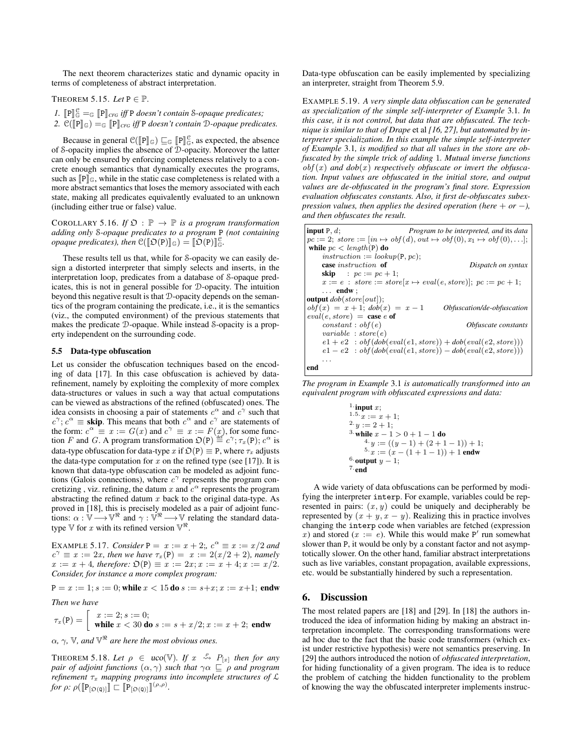The next theorem characterizes static and dynamic opacity in terms of completeness of abstract interpretation.

THEOREM 5.15. Let  $P \in \mathbb{P}$ .

*1.*  $[\mathbb{P}]\]_{\mathbb{C}}^{\mathbb{C}} =_{\mathbb{C}} [\mathbb{P}]\]_{\mathbb{C}^{FG}}$  *iff* P *doesn't contain* S-opaque predicates;<br>2.  $\mathcal{C}(\mathbb{D}^{\mathbb{D}}) =_{\mathbb{C}} [\mathbb{D}^{\mathbb{D}}]$  *iff* D doesn't contain  $\mathbb{D}$  opaque predicates; 2.  $\mathcal{C}(\llbracket P \rrbracket_G) =_G \llbracket P \rrbracket_{\text{CFG}}$  *iff* P *doesn't contain* D-opaque predicates.

Because in general  $\mathcal{C}(\llbracket P \rrbracket_{\mathbb{G}}) \sqsubseteq_{\mathbb{G}} \llbracket P \rrbracket_{\mathbb{G}}^{\mathbb{G}}$ , as expected, the absence  $\mathcal{S}_{\text{conject}}$  Moreover the latter of S-opacity implies the absence of D-opacity. Moreover the latter can only be ensured by enforcing completeness relatively to a concrete enough semantics that dynamically executes the programs, such as  $\llbracket P \rrbracket_{\mathbb{G}}$ , while in the static case completeness is related with a more abstract semantics that loses the memory associated with each state, making all predicates equivalently evaluated to an unknown (including either true or false) value.

COROLLARY 5.16. If  $\mathfrak{O} : \mathbb{P} \to \mathbb{P}$  *is a program transformation adding only* S*-opaque predicates to a program* P *(not containing opaque predicates), then*  $\mathcal{C}([\mathcal{D}(P)]_{\mathbb{G}}) = [\mathcal{D}(P)]_{\mathbb{G}}^{\mathbb{C}}$ .

These results tell us that, while for S-opacity we can easily design a distorted interpreter that simply selects and inserts, in the interpretation loop, predicates from a database of S-opaque predicates, this is not in general possible for D-opacity. The intuition beyond this negative result is that D-opacity depends on the semantics of the program containing the predicate, i.e., it is the semantics (viz., the computed environment) of the previous statements that makes the predicate D-opaque. While instead S-opacity is a property independent on the surrounding code.

## 5.5 Data-type obfuscation

Let us consider the obfuscation techniques based on the encoding of data [17]. In this case obfuscation is achieved by datarefinement, namely by exploiting the complexity of more complex data-structures or values in such a way that actual computations can be viewed as abstractions of the refined (obfuscated) ones. The idea consists in choosing a pair of statements  $c^{\alpha}$  and  $c^{\gamma}$  such that  $c^{\gamma}$ ;  $c^{\alpha} \equiv$  **skip**. This means that both  $c^{\alpha}$  and  $c^{\gamma}$  are statements of the form:  $c^{\alpha} \equiv x := G(x)$  and  $c^{\gamma} \equiv x := F(x)$ , for some function F and G. A program transformation  $\mathfrak{O}(P) \stackrel{\text{def}}{=} c^{\gamma}; \tau_x(P); c^{\alpha}$  is data-type obfuscation for data-type x if  $\mathcal{D}(P) \equiv P$ , where  $\tau_x$  adjusts the data-type computation for  $x$  on the refined type (see [17]). It is known that data-type obfuscation can be modeled as adjoint functions (Galois connections), where  $c^{\gamma}$  represents the program concretizing, viz. refining, the datum x and  $c^{\alpha}$  represents the program abstracting the refined datum  $x$  back to the original data-type. As proved in [18], this is precisely modeled as a pair of adjoint functions:  $\alpha : \mathbb{V} \longrightarrow \mathbb{V}^{\Re}$  and  $\gamma : \mathbb{V}^{\Re} \longrightarrow \mathbb{V}$  relating the standard datatype  $\mathbb {V}$  for  $x$  with its refined version  $\mathbb {V}^{\mathfrak{R}}$ .

**EXAMPLE 5.17.** *Consider*  $P = x := x + 2$ ;  $c^{\alpha} \equiv x := x/2$  *and*  $c^{\gamma} \equiv x := 2x$ *, then we have*  $\tau_x(P) = x := 2(x/2 + 2)$ *, namely*  $x := x + 4$ *, therefore:*  $\mathfrak{O}(P) \equiv x := 2x; x := x + 4; x := x/2$ . *Consider, for instance a more complex program:*

 $P = x := 1$ ;  $s := 0$ ; while  $x < 15$  do  $s := s + x$ ;  $x := x + 1$ ; endw

*Then we have*

 $\tau_x(\mathsf{P}) = \begin{bmatrix} x := 2; s := 0; \\ \text{while } x < 30 \text{ d.} \end{bmatrix}$ while  $x < 30$  do  $s := s + x/2; x := x + 2;$  endw

 $\alpha$ ,  $\gamma$ ,  $\mathbb{V}$ *, and*  $\mathbb{V}^{\Re}$  are here the most obvious ones.

THEOREM 5.18. Let  $\rho \in \text{uco}(\mathbb{V})$ . If  $x \stackrel{\rho}{\leadsto} P_{[x]}$  then for any *pair of adjoint functions*  $(\alpha, \gamma)$  *such that*  $\gamma \alpha \subseteq \rho$  *and program refinement*  $\tau_x$  *mapping programs into incomplete structures of*  $\mathcal{L}$ *for*  $\rho$ :  $\rho([\mathbb{P}_{[\mathfrak{O}(Q)]}] \sqsubset [\mathbb{P}_{[\mathfrak{O}(Q)]}]^{(\rho,\rho)}$ .

Data-type obfuscation can be easily implemented by specializing an interpreter, straight from Theorem 5.9.

EXAMPLE 5.19. *A very simple data obfuscation can be generated as specialization of the simple self-interpreter of Example* 3.1*. In this case, it is not control, but data that are obfuscated. The technique is similar to that of Drape* et al *[16, 27], but automated by interpreter specialization. In this example the simple self-interpreter of Example* 3.1*, is modified so that all values in the store are obfuscated by the simple trick of adding* 1*. Mutual inverse functions*  $obf(x)$  and  $dob(x)$  *respectively obfuscate or invert the obfuscation. Input values are obfuscated in the initial store, and output values are de-obfuscated in the program's final store. Expression evaluation obfuscates constants. Also, it first de-obfuscates subexpression values, then applies the desired operation (here*  $+$  *or*  $-$ *), and then obfuscates the result.*

input P, d; *Program to be interpreted, and* its *data*  $pc := 2$ ; store := [in  $\mapsto$  obf(d), out  $\mapsto$  obf(0),  $x_1 \mapsto$  obf(0),...]; while  $pc < length(P)$  do instruction :=  $lookup(P, pc);$ <br>case instruction of Dispatch on syntax **skip** :  $pc := pc + 1;$  $x := e$  : store := store[ $x \mapsto eval(e, store)$ ];  $pc := pc + 1$ ;  $\ldots$  endw; output *dob*(store[out]);  $obf(x) = x + 1$ ;  $dob(x) = x - 1$  *Obfuscation/de-obfuscation*  $eval(e, store) = case e$  of constant : obf (e) *Obfuscate constants*  $variable : store(e)$  $e1 + e2$ :  $obf(dob(eval(e1, store)) + dob(eval(e2, store)))$  $e1 - e2$ :  $obf(dob(eval(e1, store)) - dob(eval(e2, store)))$ . . . end

*The program in Example* 3.1 *is automatically transformed into an equivalent program with obfuscated expressions and data:*

$$
\begin{array}{ll} 1\!\cdot\!\!\!\!\!{\rm input}\;x;\\ 1.5.\,x:=x+1;\\ 2.\,y:=2+1;\\ 3.\,{\rm while}\;x-1>0+1-1\;{\rm do}\\ &\quad 4.\,y:=((y-1)+(2+1-1))+1;\\ 5.\,x:=(x-(1+1-1))+1\;{\rm end}\\ &\quad 6.\,{\rm output}\;y-1;\\ 7.\,{\rm end}\end{array}
$$

A wide variety of data obfuscations can be performed by modifying the interpreter interp. For example, variables could be represented in pairs:  $(x, y)$  could be uniquely and decipherably be represented by  $(x + y, x - y)$ . Realizing this in practice involves changing the interp code when variables are fetched (expression x) and stored (x := e). While this would make P' run somewhat slower than P, it would be only by a constant factor and not asymptotically slower. On the other hand, familiar abstract interpretations such as live variables, constant propagation, available expressions, etc. would be substantially hindered by such a representation.

# 6. Discussion

The most related papers are [18] and [29]. In [18] the authors introduced the idea of information hiding by making an abstract interpretation incomplete. The corresponding transformations were ad hoc due to the fact that the basic code transformers (which exist under restrictive hypothesis) were not semantics preserving. In [29] the authors introduced the notion of *obfuscated interpretation*, for hiding functionality of a given program. The idea is to reduce the problem of catching the hidden functionality to the problem of knowing the way the obfuscated interpreter implements instruc